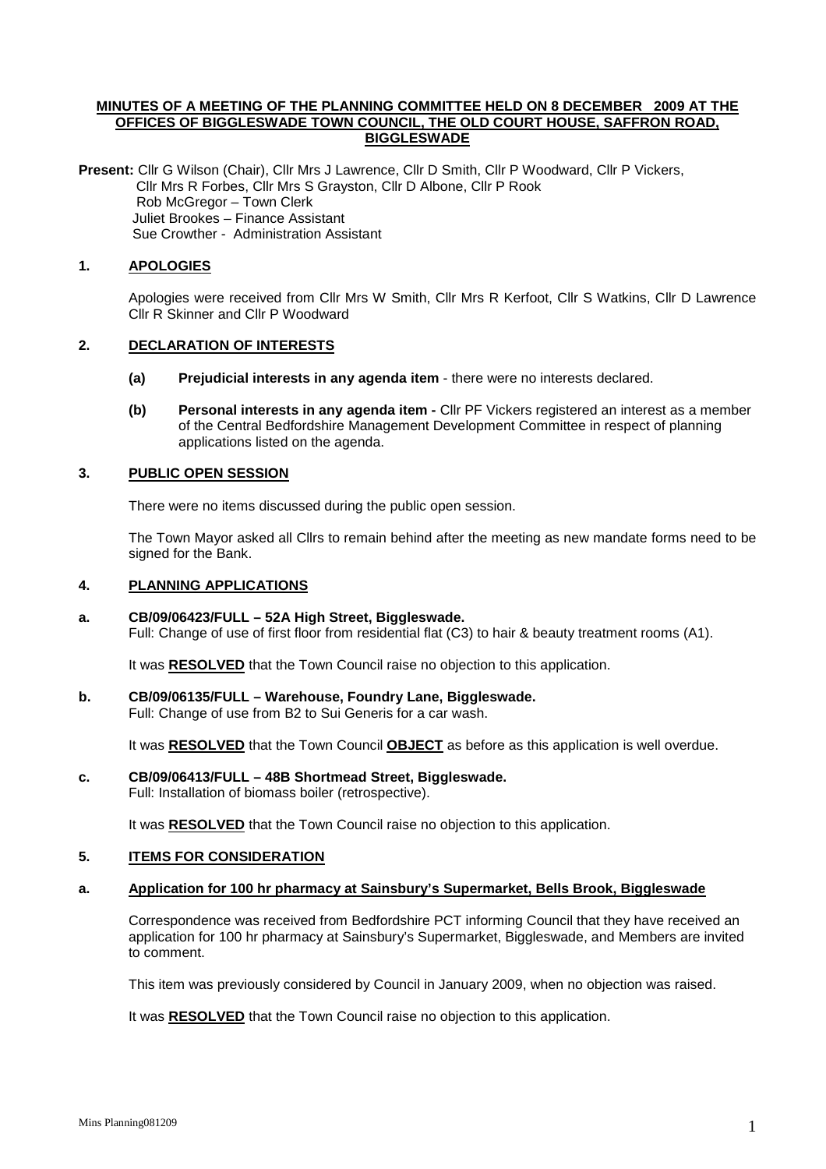## **MINUTES OF A MEETING OF THE PLANNING COMMITTEE HELD ON 8 DECEMBER 2009 AT THE OFFICES OF BIGGLESWADE TOWN COUNCIL, THE OLD COURT HOUSE, SAFFRON ROAD, BIGGLESWADE**

**Present:** Cllr G Wilson (Chair), Cllr Mrs J Lawrence, Cllr D Smith, Cllr P Woodward, Cllr P Vickers, Cllr Mrs R Forbes, Cllr Mrs S Grayston, Cllr D Albone, Cllr P Rook Rob McGregor – Town Clerk Juliet Brookes – Finance Assistant Sue Crowther - Administration Assistant

## **1. APOLOGIES**

Apologies were received from Cllr Mrs W Smith, Cllr Mrs R Kerfoot, Cllr S Watkins, Cllr D Lawrence Cllr R Skinner and Cllr P Woodward

## **2. DECLARATION OF INTERESTS**

- **(a) Prejudicial interests in any agenda item** there were no interests declared.
- **(b) Personal interests in any agenda item -** Cllr PF Vickers registered an interest as a member of the Central Bedfordshire Management Development Committee in respect of planning applications listed on the agenda.

## **3. PUBLIC OPEN SESSION**

There were no items discussed during the public open session.

The Town Mayor asked all Cllrs to remain behind after the meeting as new mandate forms need to be signed for the Bank.

## **4. PLANNING APPLICATIONS**

#### **a. CB/09/06423/FULL – 52A High Street, Biggleswade.**

Full: Change of use of first floor from residential flat (C3) to hair & beauty treatment rooms (A1).

It was **RESOLVED** that the Town Council raise no objection to this application.

#### **b. CB/09/06135/FULL – Warehouse, Foundry Lane, Biggleswade.**

Full: Change of use from B2 to Sui Generis for a car wash.

It was **RESOLVED** that the Town Council **OBJECT** as before as this application is well overdue.

# **c. CB/09/06413/FULL – 48B Shortmead Street, Biggleswade.**

Full: Installation of biomass boiler (retrospective).

It was **RESOLVED** that the Town Council raise no objection to this application.

# **5. ITEMS FOR CONSIDERATION**

## **a. Application for 100 hr pharmacy at Sainsbury's Supermarket, Bells Brook, Biggleswade**

Correspondence was received from Bedfordshire PCT informing Council that they have received an application for 100 hr pharmacy at Sainsbury's Supermarket, Biggleswade, and Members are invited to comment.

This item was previously considered by Council in January 2009, when no objection was raised.

It was **RESOLVED** that the Town Council raise no objection to this application.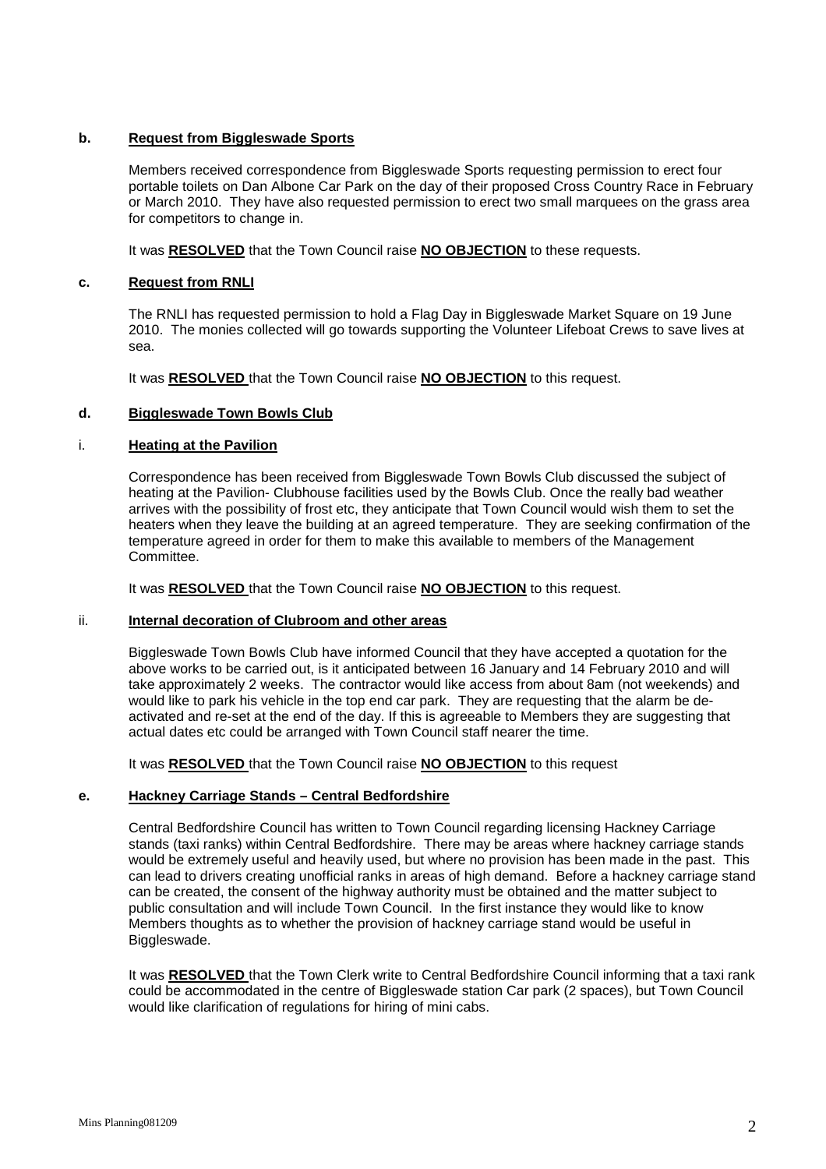## **b. Request from Biggleswade Sports**

Members received correspondence from Biggleswade Sports requesting permission to erect four portable toilets on Dan Albone Car Park on the day of their proposed Cross Country Race in February or March 2010. They have also requested permission to erect two small marquees on the grass area for competitors to change in.

It was **RESOLVED** that the Town Council raise **NO OBJECTION** to these requests.

#### **c. Request from RNLI**

The RNLI has requested permission to hold a Flag Day in Biggleswade Market Square on 19 June 2010. The monies collected will go towards supporting the Volunteer Lifeboat Crews to save lives at sea.

It was **RESOLVED** that the Town Council raise **NO OBJECTION** to this request.

#### **d. Biggleswade Town Bowls Club**

#### i. **Heating at the Pavilion**

Correspondence has been received from Biggleswade Town Bowls Club discussed the subject of heating at the Pavilion- Clubhouse facilities used by the Bowls Club. Once the really bad weather arrives with the possibility of frost etc, they anticipate that Town Council would wish them to set the heaters when they leave the building at an agreed temperature. They are seeking confirmation of the temperature agreed in order for them to make this available to members of the Management Committee.

It was **RESOLVED** that the Town Council raise **NO OBJECTION** to this request.

#### ii. **Internal decoration of Clubroom and other areas**

Biggleswade Town Bowls Club have informed Council that they have accepted a quotation for the above works to be carried out, is it anticipated between 16 January and 14 February 2010 and will take approximately 2 weeks. The contractor would like access from about 8am (not weekends) and would like to park his vehicle in the top end car park. They are requesting that the alarm be deactivated and re-set at the end of the day. If this is agreeable to Members they are suggesting that actual dates etc could be arranged with Town Council staff nearer the time.

It was **RESOLVED** that the Town Council raise **NO OBJECTION** to this request

## **e. Hackney Carriage Stands – Central Bedfordshire**

Central Bedfordshire Council has written to Town Council regarding licensing Hackney Carriage stands (taxi ranks) within Central Bedfordshire. There may be areas where hackney carriage stands would be extremely useful and heavily used, but where no provision has been made in the past. This can lead to drivers creating unofficial ranks in areas of high demand. Before a hackney carriage stand can be created, the consent of the highway authority must be obtained and the matter subject to public consultation and will include Town Council. In the first instance they would like to know Members thoughts as to whether the provision of hackney carriage stand would be useful in Biggleswade.

It was **RESOLVED** that the Town Clerk write to Central Bedfordshire Council informing that a taxi rank could be accommodated in the centre of Biggleswade station Car park (2 spaces), but Town Council would like clarification of regulations for hiring of mini cabs.